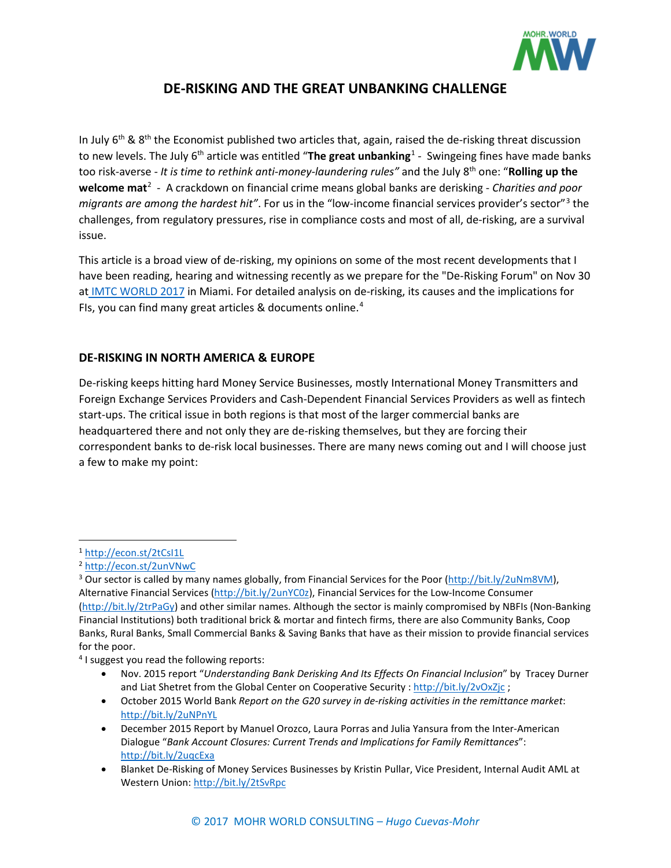

# **DE-RISKING AND THE GREAT UNBANKING CHALLENGE**

In July  $6<sup>th</sup>$  &  $8<sup>th</sup>$  the Economist published two articles that, again, raised the de-risking threat discussion to new levels. The July 6<sup>th</sup> article was entitled "The great unbanking<sup>[1](#page-0-0)</sup> - Swingeing fines have made banks too risk-averse - *It is time to rethink anti-money-laundering rules"* and the July 8th one: "**Rolling up the welcome mat**[2](#page-0-1) - A crackdown on financial crime means global banks are derisking - *Charities and poor migrants are among the hardest hit"*. For us in the "low-income financial services provider's sector"[3](#page-0-2) the challenges, from regulatory pressures, rise in compliance costs and most of all, de-risking, are a survival issue.

This article is a broad view of de-risking, my opinions on some of the most recent developments that I have been reading, hearing and witnessing recently as we prepare for the "De-Risking Forum" on Nov 30 at [IMTC WORLD 2017](http://imtconferences.com/imtc-world-2017/) in Miami. For detailed analysis on de-risking, its causes and the implications for FIs, you can find many great articles & documents online. [4](#page-0-3)

# **DE-RISKING IN NORTH AMERICA & EUROPE**

De-risking keeps hitting hard Money Service Businesses, mostly International Money Transmitters and Foreign Exchange Services Providers and Cash-Dependent Financial Services Providers as well as fintech start-ups. The critical issue in both regions is that most of the larger commercial banks are headquartered there and not only they are de-risking themselves, but they are forcing their correspondent banks to de-risk local businesses. There are many news coming out and I will choose just a few to make my point:

<span id="page-0-3"></span><sup>4</sup> I suggest you read the following reports:

- Nov. 2015 report "*Understanding Bank Derisking And Its Effects On Financial Inclusion*" by Tracey Durner and Liat Shetret from the Global Center on Cooperative Security [: http://bit.ly/2vOxZjc](http://bit.ly/2vOxZjc) ;
- October 2015 World Bank *Report on the G20 survey in de-risking activities in the remittance market*: <http://bit.ly/2uNPnYL>
- December 2015 Report by Manuel Orozco, Laura Porras and Julia Yansura from the Inter-American Dialogue "*Bank Account Closures: Current Trends and Implications for Family Remittances*": <http://bit.ly/2uqcExa>
- Blanket De-Risking of Money Services Businesses by Kristin Pullar, Vice President, Internal Audit AML at Western Union:<http://bit.ly/2tSvRpc>

<span id="page-0-0"></span> <sup>1</sup> <http://econ.st/2tCsI1L>

<span id="page-0-1"></span><sup>2</sup> <http://econ.st/2unVNwC>

<span id="page-0-2"></span><sup>&</sup>lt;sup>3</sup> Our sector is called by many names globally, from Financial Services for the Poor [\(http://bit.ly/2uNm8VM\)](http://bit.ly/2uNm8VM), Alternative Financial Services [\(http://bit.ly/2unYC0z\)](http://bit.ly/2unYC0z), Financial Services for the Low-Income Consumer [\(http://bit.ly/2trPaGy\)](http://bit.ly/2trPaGy) and other similar names. Although the sector is mainly compromised by NBFIs (Non-Banking Financial Institutions) both traditional brick & mortar and fintech firms, there are also Community Banks, Coop Banks, Rural Banks, Small Commercial Banks & Saving Banks that have as their mission to provide financial services for the poor.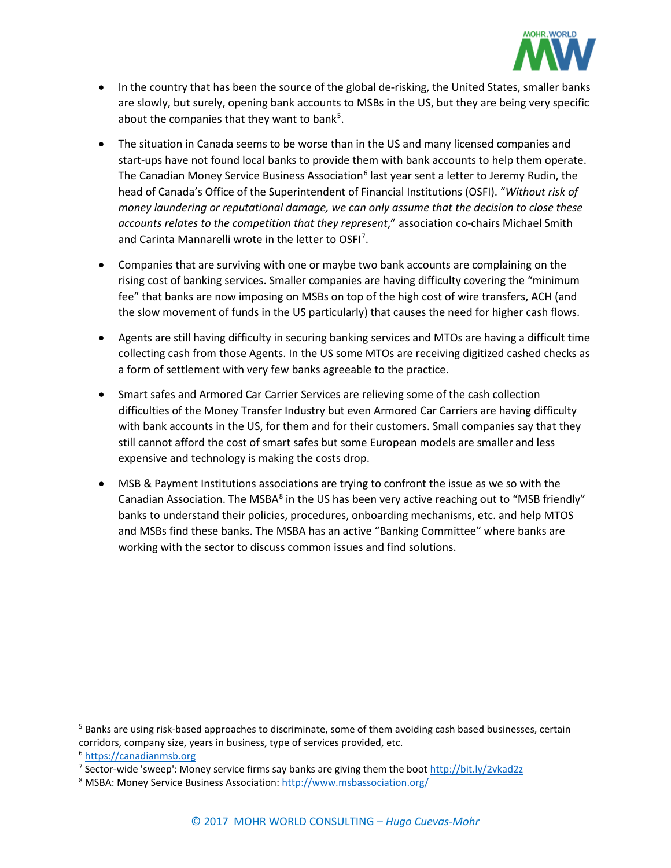

- In the country that has been the source of the global de-risking, the United States, smaller banks are slowly, but surely, opening bank accounts to MSBs in the US, but they are being very specific about the companies that they want to bank<sup>[5](#page-1-0)</sup>.
- The situation in Canada seems to be worse than in the US and many licensed companies and start-ups have not found local banks to provide them with bank accounts to help them operate. The Canadian Money Service Business Association<sup>[6](#page-1-1)</sup> last year sent a letter to Jeremy Rudin, the head of Canada's Office of the Superintendent of Financial Institutions (OSFI). "*Without risk of money laundering or reputational damage, we can only assume that the decision to close these accounts relates to the competition that they represent*," association co-chairs Michael Smith and Carinta Mannarelli wrote in the letter to OSFI<sup>[7](#page-1-2)</sup>.
- Companies that are surviving with one or maybe two bank accounts are complaining on the rising cost of banking services. Smaller companies are having difficulty covering the "minimum fee" that banks are now imposing on MSBs on top of the high cost of wire transfers, ACH (and the slow movement of funds in the US particularly) that causes the need for higher cash flows.
- Agents are still having difficulty in securing banking services and MTOs are having a difficult time collecting cash from those Agents. In the US some MTOs are receiving digitized cashed checks as a form of settlement with very few banks agreeable to the practice.
- Smart safes and Armored Car Carrier Services are relieving some of the cash collection difficulties of the Money Transfer Industry but even Armored Car Carriers are having difficulty with bank accounts in the US, for them and for their customers. Small companies say that they still cannot afford the cost of smart safes but some European models are smaller and less expensive and technology is making the costs drop.
- MSB & Payment Institutions associations are trying to confront the issue as we so with the Canadian Association. The MSBA<sup>[8](#page-1-3)</sup> in the US has been very active reaching out to "MSB friendly" banks to understand their policies, procedures, onboarding mechanisms, etc. and help MTOS and MSBs find these banks. The MSBA has an active "Banking Committee" where banks are working with the sector to discuss common issues and find solutions.

<span id="page-1-0"></span><sup>&</sup>lt;sup>5</sup> Banks are using risk-based approaches to discriminate, some of them avoiding cash based businesses, certain corridors, company size, years in business, type of services provided, etc. <sup>6</sup> [https://canadianmsb.org](https://canadianmsb.org/)

<span id="page-1-2"></span><span id="page-1-1"></span><sup>&</sup>lt;sup>7</sup> Sector-wide 'sweep': Money service firms say banks are giving them the boot <http://bit.ly/2vkad2z>

<span id="page-1-3"></span><sup>8</sup> MSBA: Money Service Business Association[: http://www.msbassociation.org/](http://www.msbassociation.org/)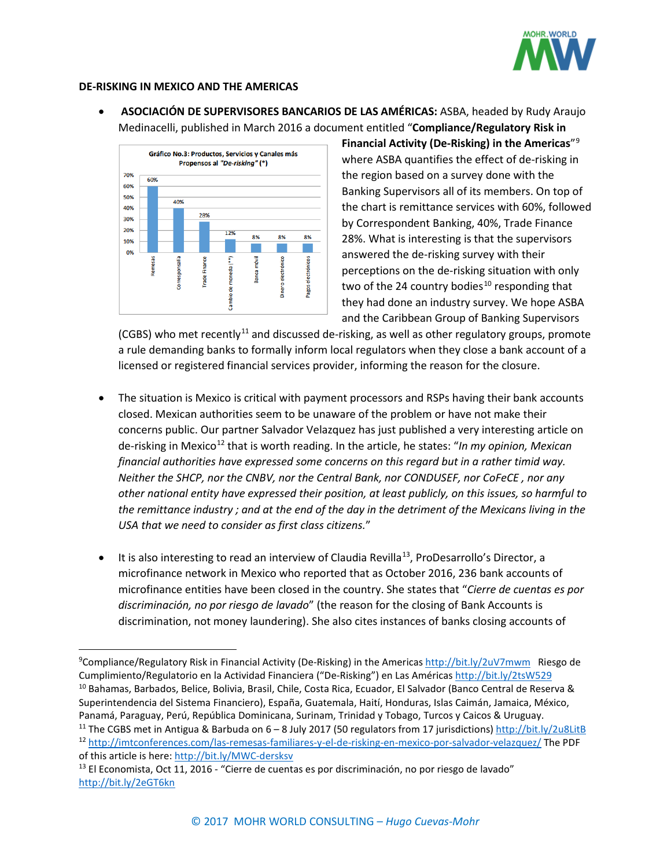

#### **DE-RISKING IN MEXICO AND THE AMERICAS**

• **ASOCIACIÓN DE SUPERVISORES BANCARIOS DE LAS AMÉRICAS:** ASBA, headed by Rudy Araujo Medinacelli, published in March 2016 a document entitled "**Compliance/Regulatory Risk in** 



**Financial Activity (De-Risking) in the Americas**"[9](#page-2-0) where ASBA quantifies the effect of de-risking in the region based on a survey done with the Banking Supervisors all of its members. On top of the chart is remittance services with 60%, followed by Correspondent Banking, 40%, Trade Finance 28%. What is interesting is that the supervisors answered the de-risking survey with their perceptions on the de-risking situation with only two of the 24 country bodies<sup>[10](#page-2-1)</sup> responding that they had done an industry survey. We hope ASBA and the Caribbean Group of Banking Supervisors

(CGBS) who met recently<sup>[11](#page-2-2)</sup> and discussed de-risking, as well as other regulatory groups, promote a rule demanding banks to formally inform local regulators when they close a bank account of a licensed or registered financial services provider, informing the reason for the closure.

- The situation is Mexico is critical with payment processors and RSPs having their bank accounts closed. Mexican authorities seem to be unaware of the problem or have not make their concerns public. Our partner Salvador Velazquez has just published a very interesting article on de-risking in Mexico<sup>[12](#page-2-3)</sup> that is worth reading. In the article, he states: "In my opinion, Mexican *financial authorities have expressed some concerns on this regard but in a rather timid way. Neither the SHCP, nor the CNBV, nor the Central Bank, nor CONDUSEF, nor CoFeCE , nor any other national entity have expressed their position, at least publicly, on this issues, so harmful to the remittance industry ; and at the end of the day in the detriment of the Mexicans living in the USA that we need to consider as first class citizens.*"
- It is also interesting to read an interview of Claudia Revilla<sup>[13](#page-2-4)</sup>, ProDesarrollo's Director, a microfinance network in Mexico who reported that as October 2016, 236 bank accounts of microfinance entities have been closed in the country. She states that "*Cierre de cuentas es por discriminación, no por riesgo de lavado*" (the reason for the closing of Bank Accounts is discrimination, not money laundering). She also cites instances of banks closing accounts of

<span id="page-2-1"></span><span id="page-2-0"></span>ـــ<br>9 <sup>9</sup>Compliance/Regulatory Risk in Financial Activity (De-Risking) in the Americas <http://bit.ly/2uV7mwm> Riesgo de Cumplimiento/Regulatorio en la Actividad Financiera ("De-Risking") en Las Américas <http://bit.ly/2tsW529> <sup>10</sup> Bahamas, Barbados, Belice, Bolivia, Brasil, Chile, Costa Rica, Ecuador, El Salvador (Banco Central de Reserva & Superintendencia del Sistema Financiero), España, Guatemala, Haití, Honduras, Islas Caimán, Jamaica, México, Panamá, Paraguay, Perú, República Dominicana, Surinam, Trinidad y Tobago, Turcos y Caicos & Uruguay.

<span id="page-2-3"></span><span id="page-2-2"></span><sup>&</sup>lt;sup>11</sup> The CGBS met in Antigua & Barbuda on  $6 - 8$  July 2017 (50 regulators from 17 jurisdictions) <http://bit.ly/2u8LitB> <sup>12</sup> <http://imtconferences.com/las-remesas-familiares-y-el-de-risking-en-mexico-por-salvador-velazquez/> The PDF of this article is here[: http://bit.ly/MWC-dersksv](http://bit.ly/MWC-dersksv)

<span id="page-2-4"></span> $13$  El Economista, Oct 11, 2016 - "Cierre de cuentas es por discriminación, no por riesgo de lavado" <http://bit.ly/2eGT6kn>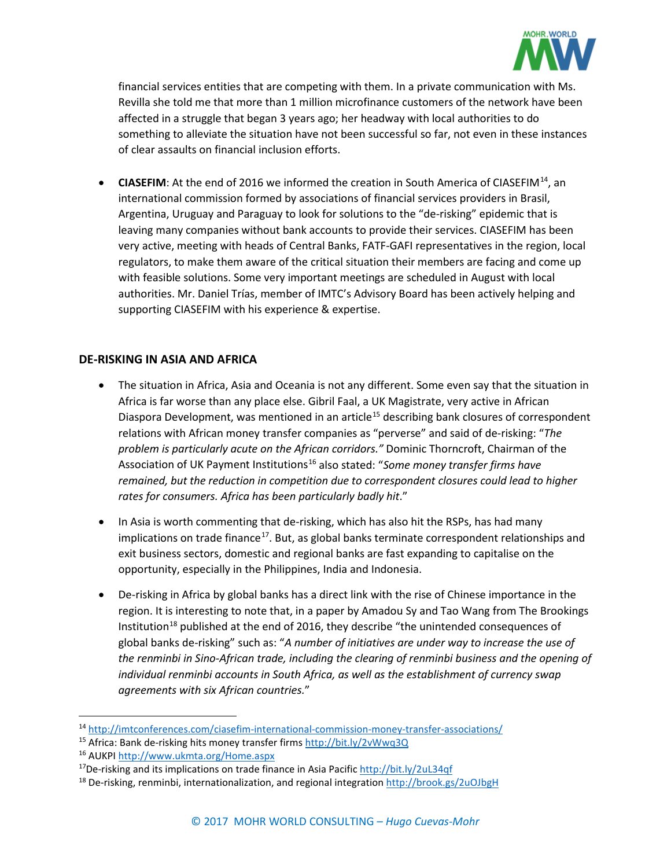

financial services entities that are competing with them. In a private communication with Ms. Revilla she told me that more than 1 million microfinance customers of the network have been affected in a struggle that began 3 years ago; her headway with local authorities to do something to alleviate the situation have not been successful so far, not even in these instances of clear assaults on financial inclusion efforts.

**CIASEFIM**: At the end of 2016 we informed the creation in South America of CIASEFIM<sup>[14](#page-3-0)</sup>, an international commission formed by associations of financial services providers in Brasil, Argentina, Uruguay and Paraguay to look for solutions to the "de-risking" epidemic that is leaving many companies without bank accounts to provide their services. CIASEFIM has been very active, meeting with heads of Central Banks, FATF-GAFI representatives in the region, local regulators, to make them aware of the critical situation their members are facing and come up with feasible solutions. Some very important meetings are scheduled in August with local authorities. Mr. Daniel Trías, member of IMTC's Advisory Board has been actively helping and supporting CIASEFIM with his experience & expertise.

## **DE-RISKING IN ASIA AND AFRICA**

- The situation in Africa, Asia and Oceania is not any different. Some even say that the situation in Africa is far worse than any place else. Gibril Faal, a UK Magistrate, very active in African Diaspora Development, was mentioned in an article<sup>[15](#page-3-1)</sup> describing bank closures of correspondent relations with African money transfer companies as "perverse" and said of de-risking: "*The problem is particularly acute on the African corridors."* Dominic Thorncroft, Chairman of the Association of UK Payment Institutions<sup>[16](#page-3-2)</sup> also stated: "Some money transfer firms have *remained, but the reduction in competition due to correspondent closures could lead to higher rates for consumers. Africa has been particularly badly hit*."
- In Asia is worth commenting that de-risking, which has also hit the RSPs, has had many implications on trade finance<sup>17</sup>. But, as global banks terminate correspondent relationships and exit business sectors, domestic and regional banks are fast expanding to capitalise on the opportunity, especially in the Philippines, India and Indonesia.
- De-risking in Africa by global banks has a direct link with the rise of Chinese importance in the region. It is interesting to note that, in a paper by Amadou Sy and Tao Wang from The Brookings Institution<sup>[18](#page-3-4)</sup> published at the end of 2016, they describe "the unintended consequences of global banks de-risking" such as: "*A number of initiatives are under way to increase the use of the renminbi in Sino-African trade, including the clearing of renminbi business and the opening of individual renminbi accounts in South Africa, as well as the establishment of currency swap agreements with six African countries.*"

<span id="page-3-0"></span> <sup>14</sup> <http://imtconferences.com/ciasefim-international-commission-money-transfer-associations/>

<span id="page-3-1"></span><sup>15</sup> Africa: Bank de-risking hits money transfer firm[s http://bit.ly/2vWwq3Q](http://bit.ly/2vWwq3Q)

<span id="page-3-2"></span><sup>16</sup> AUKPI<http://www.ukmta.org/Home.aspx>

<span id="page-3-3"></span> $17$ De-risking and its implications on trade finance in Asia Pacific <http://bit.ly/2uL34qf>

<span id="page-3-4"></span><sup>18</sup> De-risking, renminbi, internationalization, and regional integration <http://brook.gs/2uOJbgH>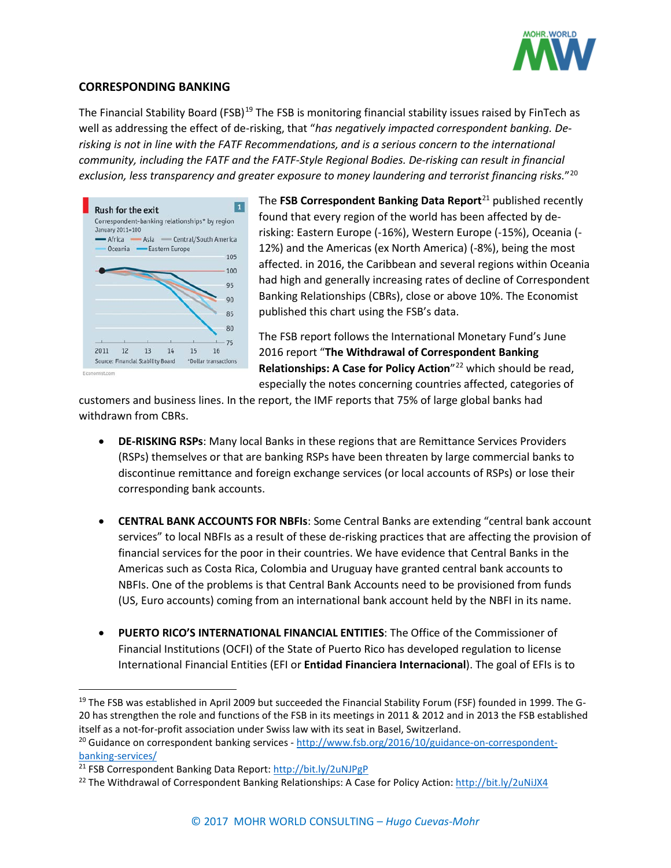

#### **CORRESPONDING BANKING**

The Financial Stability Board (FSB)<sup>[19](#page-4-0)</sup> The FSB is monitoring financial stability issues raised by FinTech as well as addressing the effect of de-risking, that "*has negatively impacted correspondent banking. Derisking is not in line with the FATF Recommendations, and is a serious concern to the international community, including the FATF and the FATF-Style Regional Bodies. De-risking can result in financial exclusion, less transparency and greater exposure to money laundering and terrorist financing risks.*"[20](#page-4-1)



The **FSB Correspondent Banking Data Report**<sup>[21](#page-4-2)</sup> published recently found that every region of the world has been affected by derisking: Eastern Europe (-16%), Western Europe (-15%), Oceania (- 12%) and the Americas (ex North America) (-8%), being the most affected. in 2016, the Caribbean and several regions within Oceania had high and generally increasing rates of decline of Correspondent Banking Relationships (CBRs), close or above 10%. The Economist published this chart using the FSB's data.

The FSB report follows the International Monetary Fund's June 2016 report "**The Withdrawal of Correspondent Banking Relationships: A Case for Policy Action**"[22](#page-4-3) which should be read, especially the notes concerning countries affected, categories of

customers and business lines. In the report, the IMF reports that 75% of large global banks had withdrawn from CBRs.

- **DE-RISKING RSPs**: Many local Banks in these regions that are Remittance Services Providers (RSPs) themselves or that are banking RSPs have been threaten by large commercial banks to discontinue remittance and foreign exchange services (or local accounts of RSPs) or lose their corresponding bank accounts.
- **CENTRAL BANK ACCOUNTS FOR NBFIs**: Some Central Banks are extending "central bank account services" to local NBFIs as a result of these de-risking practices that are affecting the provision of financial services for the poor in their countries. We have evidence that Central Banks in the Americas such as Costa Rica, Colombia and Uruguay have granted central bank accounts to NBFIs. One of the problems is that Central Bank Accounts need to be provisioned from funds (US, Euro accounts) coming from an international bank account held by the NBFI in its name.
- **PUERTO RICO'S INTERNATIONAL FINANCIAL ENTITIES**: The Office of the Commissioner of Financial Institutions (OCFI) of the State of Puerto Rico has developed regulation to license International Financial Entities (EFI or **Entidad Financiera Internacional**). The goal of EFIs is to

<span id="page-4-0"></span><sup>&</sup>lt;sup>19</sup> The FSB was established in April 2009 but succeeded the Financial Stability Forum (FSF) founded in 1999. The G-20 has strengthen the role and functions of the FSB in its meetings in 2011 & 2012 and in 2013 the FSB established itself as a not-for-profit association under Swiss law with its seat in Basel, Switzerland.

<span id="page-4-1"></span><sup>&</sup>lt;sup>20</sup> Guidance on correspondent banking services - [http://www.fsb.org/2016/10/guidance-on-correspondent](http://www.fsb.org/2016/10/guidance-on-correspondent-banking-services/)[banking-services/](http://www.fsb.org/2016/10/guidance-on-correspondent-banking-services/)

<span id="page-4-2"></span><sup>&</sup>lt;sup>21</sup> FSB Correspondent Banking Data Report[: http://bit.ly/2uNJPgP](http://bit.ly/2uNJPgP)

<span id="page-4-3"></span><sup>&</sup>lt;sup>22</sup> The Withdrawal of Correspondent Banking Relationships: A Case for Policy Action:<http://bit.ly/2uNiJX4>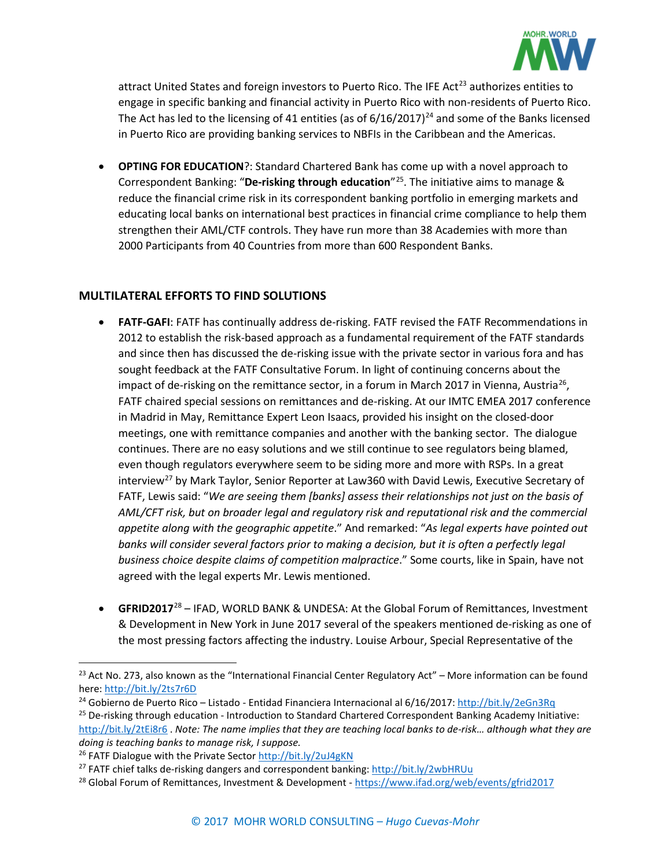

attract United States and foreign investors to Puerto Rico. The IFE Act<sup>[23](#page-5-0)</sup> authorizes entities to engage in specific banking and financial activity in Puerto Rico with non-residents of Puerto Rico. The Act has led to the licensing of 41 entities (as of  $6/16/2017$ )<sup>[24](#page-5-1)</sup> and some of the Banks licensed in Puerto Rico are providing banking services to NBFIs in the Caribbean and the Americas.

• **OPTING FOR EDUCATION**?: Standard Chartered Bank has come up with a novel approach to Correspondent Banking: "**De-risking through education**"[25.](#page-5-2) The initiative aims to manage & reduce the financial crime risk in its correspondent banking portfolio in emerging markets and educating local banks on international best practices in financial crime compliance to help them strengthen their AML/CTF controls. They have run more than 38 Academies with more than 2000 Participants from 40 Countries from more than 600 Respondent Banks.

# **MULTILATERAL EFFORTS TO FIND SOLUTIONS**

- **FATF-GAFI**: FATF has continually address de-risking. FATF revised the FATF Recommendations in 2012 to establish the risk-based approach as a fundamental requirement of the FATF standards and since then has discussed the de-risking issue with the private sector in various fora and has sought feedback at the FATF Consultative Forum. In light of continuing concerns about the impact of de-risking on the remittance sector, in a forum in March 2017 in Vienna, Austria<sup>[26](#page-5-3)</sup>, FATF chaired special sessions on remittances and de-risking. At our IMTC EMEA 2017 conference in Madrid in May, Remittance Expert Leon Isaacs, provided his insight on the closed-door meetings, one with remittance companies and another with the banking sector. The dialogue continues. There are no easy solutions and we still continue to see regulators being blamed, even though regulators everywhere seem to be siding more and more with RSPs. In a great interview<sup>[27](#page-5-4)</sup> by Mark Taylor, Senior Reporter at Law360 with David Lewis, Executive Secretary of FATF, Lewis said: "*We are seeing them [banks] assess their relationships not just on the basis of AML/CFT risk, but on broader legal and regulatory risk and reputational risk and the commercial appetite along with the geographic appetite*." And remarked: "*As legal experts have pointed out banks will consider several factors prior to making a decision, but it is often a perfectly legal business choice despite claims of competition malpractice*." Some courts, like in Spain, have not agreed with the legal experts Mr. Lewis mentioned.
- **GFRID2017**[28](#page-5-5) IFAD, WORLD BANK & UNDESA: At the Global Forum of Remittances, Investment & Development in New York in June 2017 several of the speakers mentioned de-risking as one of the most pressing factors affecting the industry. Louise Arbour, Special Representative of the

<span id="page-5-0"></span><sup>&</sup>lt;sup>23</sup> Act No. 273, also known as the "International Financial Center Regulatory Act" – More information can be found here[: http://bit.ly/2ts7r6D](http://bit.ly/2ts7r6D)

<span id="page-5-1"></span><sup>24</sup> Gobierno de Puerto Rico – Listado - Entidad Financiera Internacional al 6/16/2017:<http://bit.ly/2eGn3Rq>

<span id="page-5-2"></span><sup>&</sup>lt;sup>25</sup> De-risking through education - Introduction to Standard Chartered Correspondent Banking Academy Initiative: <http://bit.ly/2tEi8r6> . *Note: The name implies that they are teaching local banks to de-risk… although what they are doing is teaching banks to manage risk, I suppose.*

<span id="page-5-3"></span><sup>26</sup> FATF Dialogue with the Private Sector<http://bit.ly/2uJ4gKN>

<span id="page-5-4"></span><sup>&</sup>lt;sup>27</sup> FATF chief talks de-risking dangers and correspondent banking[: http://bit.ly/2wbHRUu](http://bit.ly/2wbHRUu)

<span id="page-5-5"></span><sup>&</sup>lt;sup>28</sup> Global Forum of Remittances, Investment & Development - <https://www.ifad.org/web/events/gfrid2017>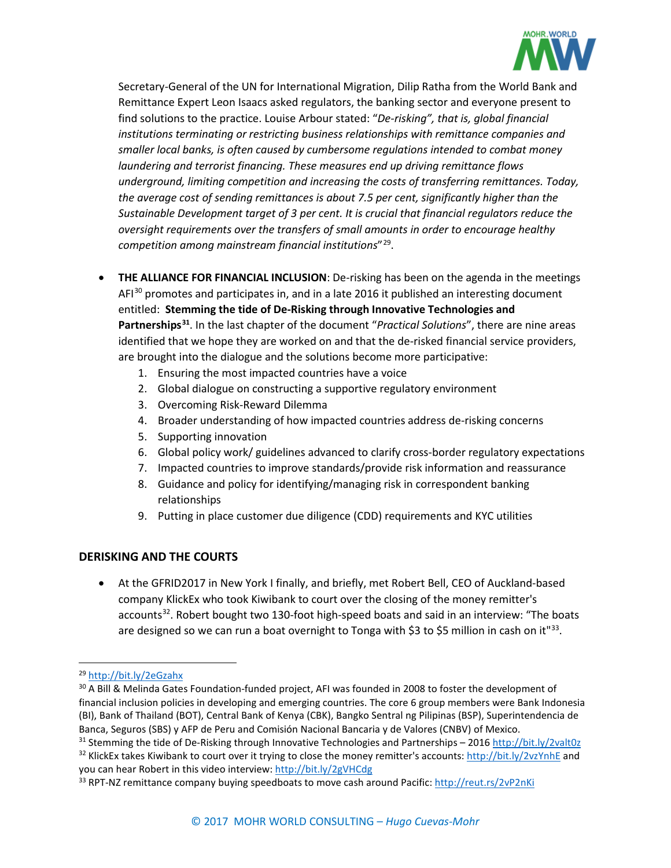

Secretary-General of the UN for International Migration, Dilip Ratha from the World Bank and Remittance Expert Leon Isaacs asked regulators, the banking sector and everyone present to find solutions to the practice. Louise Arbour stated: "*De-risking", that is, global financial institutions terminating or restricting business relationships with remittance companies and smaller local banks, is often caused by cumbersome regulations intended to combat money laundering and terrorist financing. These measures end up driving remittance flows underground, limiting competition and increasing the costs of transferring remittances. Today, the average cost of sending remittances is about 7.5 per cent, significantly higher than the Sustainable Development target of 3 per cent. It is crucial that financial regulators reduce the oversight requirements over the transfers of small amounts in order to encourage healthy competition among mainstream financial institutions*"[29.](#page-6-0)

- **THE ALLIANCE FOR FINANCIAL INCLUSION**: De-risking has been on the agenda in the meetings  $AFI<sup>30</sup>$  $AFI<sup>30</sup>$  $AFI<sup>30</sup>$  promotes and participates in, and in a late 2016 it published an interesting document entitled: **Stemming the tide of De-Risking through Innovative Technologies and Partnerships[31](#page-6-2)**. In the last chapter of the document "*Practical Solutions*", there are nine areas identified that we hope they are worked on and that the de-risked financial service providers, are brought into the dialogue and the solutions become more participative:
	- 1. Ensuring the most impacted countries have a voice
	- 2. Global dialogue on constructing a supportive regulatory environment
	- 3. Overcoming Risk-Reward Dilemma
	- 4. Broader understanding of how impacted countries address de-risking concerns
	- 5. Supporting innovation
	- 6. Global policy work/ guidelines advanced to clarify cross-border regulatory expectations
	- 7. Impacted countries to improve standards/provide risk information and reassurance
	- 8. Guidance and policy for identifying/managing risk in correspondent banking relationships
	- 9. Putting in place customer due diligence (CDD) requirements and KYC utilities

# **DERISKING AND THE COURTS**

• At the GFRID2017 in New York I finally, and briefly, met Robert Bell, CEO of Auckland-based company KlickEx who took Kiwibank to court over the closing of the money remitter's accounts<sup>32</sup>. Robert bought two 130-foot high-speed boats and said in an interview: "The boats are designed so we can run a boat overnight to Tonga with \$3 to \$5 million in cash on it"<sup>33</sup>.

<span id="page-6-0"></span> <sup>29</sup> <http://bit.ly/2eGzahx>

<span id="page-6-1"></span><sup>&</sup>lt;sup>30</sup> A Bill & Melinda Gates Foundation-funded project, AFI was founded in 2008 to foster the development of financial inclusion policies in developing and emerging countries. The core 6 group members were Bank Indonesia (BI), Bank of Thailand (BOT), Central Bank of Kenya (CBK), Bangko Sentral ng Pilipinas (BSP), Superintendencia de Banca, Seguros (SBS) y AFP de Peru and Comisión Nacional Bancaria y de Valores (CNBV) of Mexico.

<span id="page-6-3"></span><span id="page-6-2"></span><sup>31</sup> Stemming the tide of De-Risking through Innovative Technologies and Partnerships – 2016<http://bit.ly/2valt0z> 32 KlickEx takes Kiwibank to court over it trying to close the money remitter's accounts:<http://bit.ly/2vzYnhE> and you can hear Robert in this video interview:<http://bit.ly/2gVHCdg>

<span id="page-6-4"></span><sup>33</sup> RPT-NZ remittance company buying speedboats to move cash around Pacific:<http://reut.rs/2vP2nKi>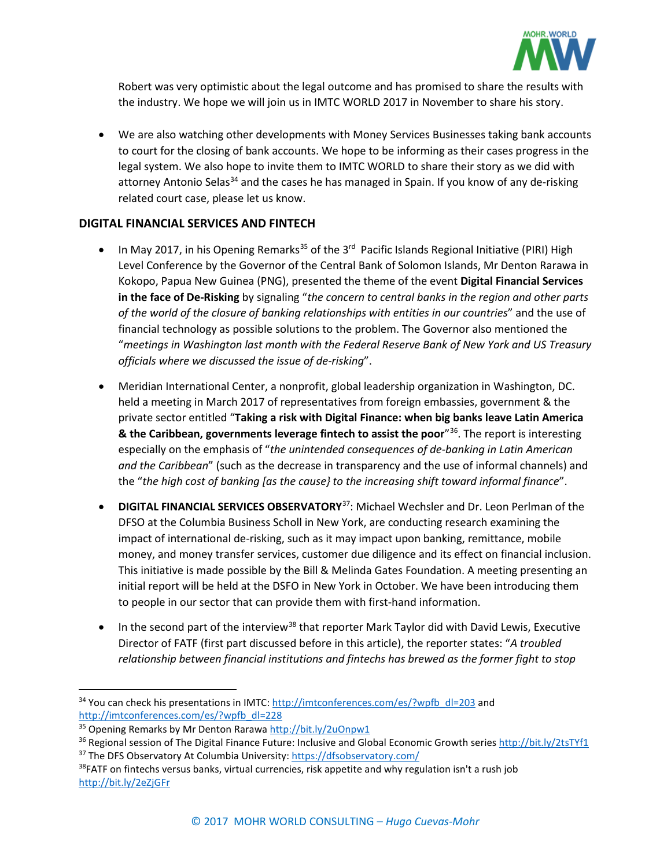

Robert was very optimistic about the legal outcome and has promised to share the results with the industry. We hope we will join us in IMTC WORLD 2017 in November to share his story.

• We are also watching other developments with Money Services Businesses taking bank accounts to court for the closing of bank accounts. We hope to be informing as their cases progress in the legal system. We also hope to invite them to IMTC WORLD to share their story as we did with attorney Antonio Selas<sup>[34](#page-7-0)</sup> and the cases he has managed in Spain. If you know of any de-risking related court case, please let us know.

## **DIGITAL FINANCIAL SERVICES AND FINTECH**

- In May 2017, in his Opening Remarks<sup>[35](#page-7-1)</sup> of the 3<sup>rd</sup> Pacific Islands Regional Initiative (PIRI) High Level Conference by the Governor of the Central Bank of Solomon Islands, Mr Denton Rarawa in Kokopo, Papua New Guinea (PNG), presented the theme of the event **Digital Financial Services in the face of De-Risking** by signaling "*the concern to central banks in the region and other parts of the world of the closure of banking relationships with entities in our countries*" and the use of financial technology as possible solutions to the problem. The Governor also mentioned the "*meetings in Washington last month with the Federal Reserve Bank of New York and US Treasury officials where we discussed the issue of de-risking*".
- Meridian International Center, a nonprofit, global leadership organization in Washington, DC. held a meeting in March 2017 of representatives from foreign embassies, government & the private sector entitled "**Taking a risk with Digital Finance: when big banks leave Latin America & the Caribbean, governments leverage fintech to assist the poor**"[36.](#page-7-2) The report is interesting especially on the emphasis of "*the unintended consequences of de-banking in Latin American and the Caribbean*" (such as the decrease in transparency and the use of informal channels) and the "*the high cost of banking [as the cause} to the increasing shift toward informal finance*".
- **DIGITAL FINANCIAL SERVICES OBSERVATORY**[37:](#page-7-3) Michael Wechsler and Dr. Leon Perlman of the DFSO at the Columbia Business Scholl in New York, are conducting research examining the impact of international de-risking, such as it may impact upon banking, remittance, mobile money, and money transfer services, customer due diligence and its effect on financial inclusion. This initiative is made possible by the Bill & Melinda Gates Foundation. A meeting presenting an initial report will be held at the DSFO in New York in October. We have been introducing them to people in our sector that can provide them with first-hand information.
- In the second part of the interview<sup>[38](#page-7-4)</sup> that reporter Mark Taylor did with David Lewis, Executive Director of FATF (first part discussed before in this article), the reporter states: "*A troubled relationship between financial institutions and fintechs has brewed as the former fight to stop*

<span id="page-7-0"></span> $34$  You can check his presentations in IMTC[: http://imtconferences.com/es/?wpfb\\_dl=203](http://imtconferences.com/es/?wpfb_dl=203) and [http://imtconferences.com/es/?wpfb\\_dl=228](http://imtconferences.com/es/?wpfb_dl=228)

<span id="page-7-1"></span><sup>&</sup>lt;sup>35</sup> Opening Remarks by Mr Denton Raraw[a http://bit.ly/2uOnpw1](http://bit.ly/2uOnpw1)

<span id="page-7-2"></span><sup>&</sup>lt;sup>36</sup> Regional session of The Digital Finance Future: Inclusive and Global Economic Growth serie[s http://bit.ly/2tsTYf1](http://bit.ly/2tsTYf1) <sup>37</sup> The DFS Observatory At Columbia University[: https://dfsobservatory.com/](https://dfsobservatory.com/)

<span id="page-7-4"></span><span id="page-7-3"></span> $38$ FATF on fintechs versus banks, virtual currencies, risk appetite and why regulation isn't a rush job <http://bit.ly/2eZjGFr>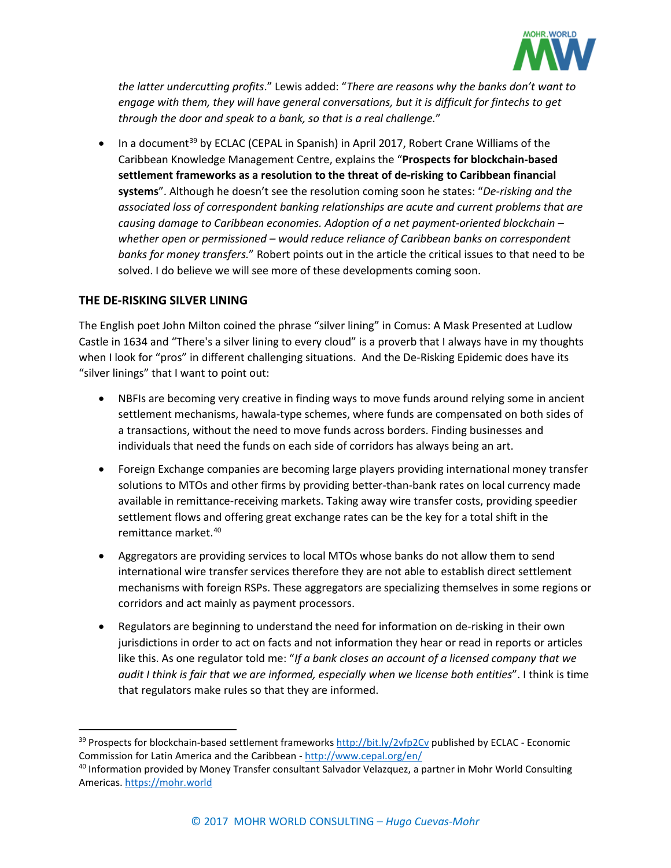

*the latter undercutting profits*." Lewis added: "*There are reasons why the banks don't want to engage with them, they will have general conversations, but it is difficult for fintechs to get through the door and speak to a bank, so that is a real challenge.*"

• In a document<sup>[39](#page-8-0)</sup> by ECLAC (CEPAL in Spanish) in April 2017, Robert Crane Williams of the Caribbean Knowledge Management Centre, explains the "**Prospects for blockchain-based settlement frameworks as a resolution to the threat of de-risking to Caribbean financial systems**". Although he doesn't see the resolution coming soon he states: "*De-risking and the associated loss of correspondent banking relationships are acute and current problems that are causing damage to Caribbean economies. Adoption of a net payment-oriented blockchain – whether open or permissioned – would reduce reliance of Caribbean banks on correspondent banks for money transfers.*" Robert points out in the article the critical issues to that need to be solved. I do believe we will see more of these developments coming soon.

## **THE DE-RISKING SILVER LINING**

The English poet John Milton coined the phrase "silver lining" in Comus: A Mask Presented at Ludlow Castle in 1634 and "There's a silver lining to every cloud" is a proverb that I always have in my thoughts when I look for "pros" in different challenging situations. And the De-Risking Epidemic does have its "silver linings" that I want to point out:

- NBFIs are becoming very creative in finding ways to move funds around relying some in ancient settlement mechanisms, hawala-type schemes, where funds are compensated on both sides of a transactions, without the need to move funds across borders. Finding businesses and individuals that need the funds on each side of corridors has always being an art.
- Foreign Exchange companies are becoming large players providing international money transfer solutions to MTOs and other firms by providing better-than-bank rates on local currency made available in remittance-receiving markets. Taking away wire transfer costs, providing speedier settlement flows and offering great exchange rates can be the key for a total shift in the remittance market.[40](#page-8-1)
- Aggregators are providing services to local MTOs whose banks do not allow them to send international wire transfer services therefore they are not able to establish direct settlement mechanisms with foreign RSPs. These aggregators are specializing themselves in some regions or corridors and act mainly as payment processors.
- Regulators are beginning to understand the need for information on de-risking in their own jurisdictions in order to act on facts and not information they hear or read in reports or articles like this. As one regulator told me: "*If a bank closes an account of a licensed company that we audit I think is fair that we are informed, especially when we license both entities*". I think is time that regulators make rules so that they are informed.

<span id="page-8-0"></span><sup>&</sup>lt;sup>39</sup> Prospects for blockchain-based settlement frameworks <http://bit.ly/2vfp2Cv> published by ECLAC - Economic Commission for Latin America and the Caribbean - <http://www.cepal.org/en/>

<span id="page-8-1"></span><sup>40</sup> Information provided by Money Transfer consultant Salvador Velazquez, a partner in Mohr World Consulting Americas. [https://mohr.world](https://mohr.world/)